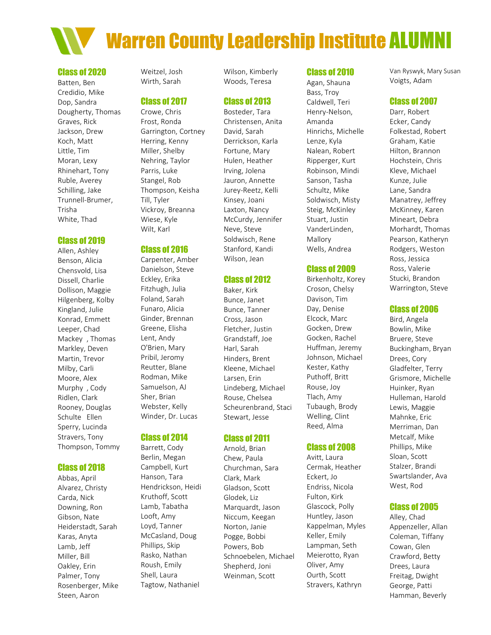

#### Class of 2020

Batten, Ben Credidio, Mike Dop, Sandra Dougherty, Thomas Graves, Rick Jackson, Drew Koch, Matt Little, Tim Moran, Lexy Rhinehart, Tony Ruble, Averey Schilling, Jake Trunnell-Brumer, Trisha White, Thad

### Class of 2019

Allen, Ashley Benson, Alicia Chensvold, Lisa Dissell, Charlie Dollison, Maggie Hilgenberg, Kolby Kingland, Julie Konrad, Emmett Leeper, Chad Mackey , Thomas Markley, Deven Martin, Trevor Milby, Carli Moore, Alex Murphy , Cody Ridlen, Clark Rooney, Douglas Schulte Ellen Sperry, Lucinda Stravers, Tony Thompson, Tommy

# Class of 2018

Abbas, April Alvarez, Christy Carda, Nick Downing, Ron Gibson, Nate Heiderstadt, Sarah Karas, Anyta Lamb, Jeff Miller, Bill Oakley, Erin Palmer, Tony Rosenberger, Mike Steen, Aaron

Weitzel, Josh Wirth, Sarah

### Class of 2017

Crowe, Chris Frost, Ronda Garrington, Cortney Herring, Kenny Miller, Shelby Nehring, Taylor Parris, Luke Stangel, Rob Thompson, Keisha Till, Tyler Vickroy, Breanna Wiese, Kyle Wilt, Karl

# Class of 2016

Carpenter, Amber Danielson, Steve Eckley, Erika Fitzhugh, Julia Foland, Sarah Funaro, Alicia Ginder, Brennan Greene, Elisha Lent, Andy O'Brien, Mary Pribil, Jeromy Reutter, Blane Rodman, Mike Samuelson, AJ Sher, Brian Webster, Kelly Winder, Dr. Lucas

### Class of 2014

Barrett, Cody Berlin, Megan Campbell, Kurt Hanson, Tara Hendrickson, Heidi Kruthoff, Scott Lamb, Tabatha Looft, Amy Loyd, Tanner McCasland, Doug Phillips, Skip Rasko, Nathan Roush, Emily Shell, Laura Tagtow, Nathaniel

Wilson, Kimberly Woods, Teresa

# Class of 2013

Bosteder, Tara Christensen, Anita David, Sarah Derrickson, Karla Fortune, Mary Hulen, Heather Irving, Jolena Jauron, Annette Jurey-Reetz, Kelli Kinsey, Joani Laxton, Nancy McCurdy, Jennifer Neve, Steve Soldwisch, Rene Stanford, Kandi Wilson, Jean

# Class of 2012

Baker, Kirk Bunce, Janet Bunce, Tanner Cross, Jason Fletcher, Justin Grandstaff, Joe Harl, Sarah Hinders, Brent Kleene, Michael Larsen, Erin Lindeberg, Michael Rouse, Chelsea Scheurenbrand, Staci Stewart, Jesse

# Class of 2011

Arnold, Brian Chew, Paula Churchman, Sara Clark, Mark Gladson, Scott Glodek, Liz Marquardt, Jason Niccum, Keegan Norton, Janie Pogge, Bobbi Powers, Bob Schnoebelen, Michael Shepherd, Joni Weinman, Scott

# Class of 2010

Agan, Shauna Bass, Troy Caldwell, Teri Henry-Nelson, Amanda Hinrichs, Michelle Lenze, Kyla Nalean, Robert Ripperger, Kurt Robinson, Mindi Sanson, Tasha Schultz, Mike Soldwisch, Misty Steig, McKinley Stuart, Justin VanderLinden, Mallory Wells, Andrea

# Class of 2009

Birkenholtz, Korey Croson, Chelsy Davison, Tim Day, Denise Elcock, Marc Gocken, Drew Gocken, Rachel Huffman, Jeremy Johnson, Michael Kester, Kathy Puthoff, Britt Rouse, Joy Tlach, Amy Tubaugh, Brody Welling, Clint Reed, Alma

# Class of 2008

Avitt, Laura Cermak, Heather Eckert, Jo Endriss, Nicola Fulton, Kirk Glascock, Polly Huntley, Jason Kappelman, Myles Keller, Emily Lampman, Seth Meierotto, Ryan Oliver, Amy Ourth, Scott Stravers, Kathryn

Van Ryswyk, Mary Susan Voigts, Adam

### Class of 2007

Darr, Robert Ecker, Candy Folkestad, Robert Graham, Katie Hilton, Brannon Hochstein, Chris Kleve, Michael Kunze, Julie Lane, Sandra Manatrey, Jeffrey McKinney, Karen Mineart, Debra Morhardt, Thomas Pearson, Katheryn Rodgers, Weston Ross, Jessica Ross, Valerie Stucki, Brandon Warrington, Steve

### Class of 2006

Bird, Angela Bowlin, Mike Bruere, Steve Buckingham, Bryan Drees, Cory Gladfelter, Terry Grismore, Michelle Huinker, Ryan Hulleman, Harold Lewis, Maggie Mahnke, Eric Merriman, Dan Metcalf, Mike Phillips, Mike Sloan, Scott Stalzer, Brandi Swartslander, Ava West, Rod

# Class of 2005

Alley, Chad Appenzeller, Allan Coleman, Tiffany Cowan, Glen Crawford, Betty Drees, Laura Freitag, Dwight George, Patti Hamman, Beverly